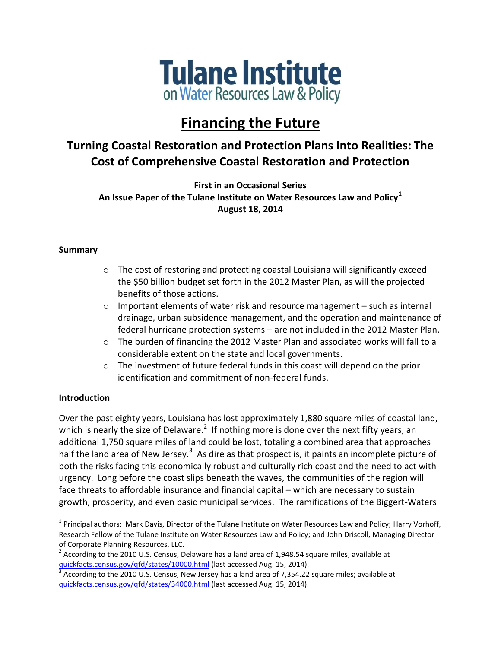

# **Financing the Future**

# **Turning Coastal Restoration and Protection Plans Into Realities: The Cost of Comprehensive Coastal Restoration and Protection**

**First in an Occasional Series An Issue Paper of the Tulane Institute on Water Resources Law and Policy<sup>1</sup> August 18, 2014**

### **Summary**

- o The cost of restoring and protecting coastal Louisiana will significantly exceed the \$50 billion budget set forth in the 2012 Master Plan, as will the projected benefits of those actions.
- o Important elements of water risk and resource management such as internal drainage, urban subsidence management, and the operation and maintenance of federal hurricane protection systems – are not included in the 2012 Master Plan.
- o The burden of financing the 2012 Master Plan and associated works will fall to a considerable extent on the state and local governments.
- $\circ$  The investment of future federal funds in this coast will depend on the prior identification and commitment of non-federal funds.

# **Introduction**

 $\overline{\phantom{a}}$ 

Over the past eighty years, Louisiana has lost approximately 1,880 square miles of coastal land, which is nearly the size of Delaware.<sup>2</sup> If nothing more is done over the next fifty years, an additional 1,750 square miles of land could be lost, totaling a combined area that approaches half the land area of New Jersey.<sup>3</sup> As dire as that prospect is, it paints an incomplete picture of both the risks facing this economically robust and culturally rich coast and the need to act with urgency. Long before the coast slips beneath the waves, the communities of the region will face threats to affordable insurance and financial capital – which are necessary to sustain growth, prosperity, and even basic municipal services. The ramifications of the Biggert-Waters

<sup>&</sup>lt;sup>1</sup> Principal authors: Mark Davis, Director of the Tulane Institute on Water Resources Law and Policy; Harry Vorhoff, Research Fellow of the Tulane Institute on Water Resources Law and Policy; and John Driscoll, Managing Director of Corporate Planning Resources, LLC.

<sup>&</sup>lt;sup>2</sup> According to the 2010 U.S. Census, Delaware has a land area of 1,948.54 square miles; available at [quickfacts.census.gov/qfd/states/10000.html](http://quickfacts.census.gov/qfd/states/10000.html) (last accessed Aug. 15, 2014).

 $^3$  According to the 2010 U.S. Census, New Jersey has a land area of 7,354.22 square miles; available at [quickfacts.census.gov/qfd/states/34000.html](http://quickfacts.census.gov/qfd/states/34000.html) (last accessed Aug. 15, 2014).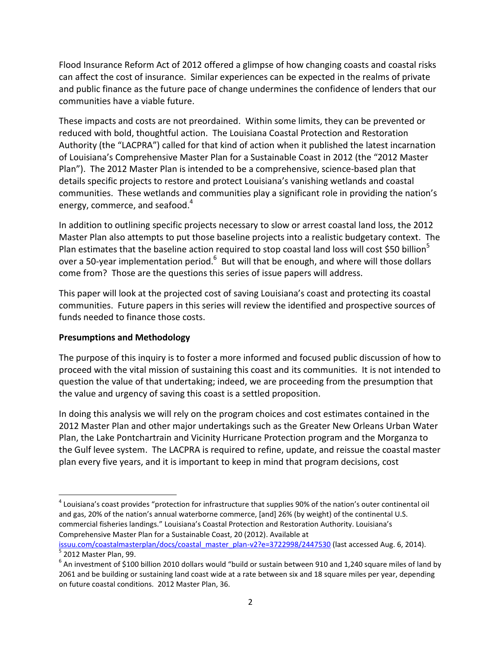Flood Insurance Reform Act of 2012 offered a glimpse of how changing coasts and coastal risks can affect the cost of insurance. Similar experiences can be expected in the realms of private and public finance as the future pace of change undermines the confidence of lenders that our communities have a viable future.

These impacts and costs are not preordained. Within some limits, they can be prevented or reduced with bold, thoughtful action. The Louisiana Coastal Protection and Restoration Authority (the "LACPRA") called for that kind of action when it published the latest incarnation of Louisiana's Comprehensive Master Plan for a Sustainable Coast in 2012 (the "2012 Master Plan"). The 2012 Master Plan is intended to be a comprehensive, science-based plan that details specific projects to restore and protect Louisiana's vanishing wetlands and coastal communities. These wetlands and communities play a significant role in providing the nation's energy, commerce, and seafood.<sup>4</sup>

In addition to outlining specific projects necessary to slow or arrest coastal land loss, the 2012 Master Plan also attempts to put those baseline projects into a realistic budgetary context. The Plan estimates that the baseline action required to stop coastal land loss will cost \$50 billion<sup>5</sup> over a 50-year implementation period.<sup>6</sup> But will that be enough, and where will those dollars come from? Those are the questions this series of issue papers will address.

This paper will look at the projected cost of saving Louisiana's coast and protecting its coastal communities. Future papers in this series will review the identified and prospective sources of funds needed to finance those costs.

# **Presumptions and Methodology**

The purpose of this inquiry is to foster a more informed and focused public discussion of how to proceed with the vital mission of sustaining this coast and its communities. It is not intended to question the value of that undertaking; indeed, we are proceeding from the presumption that the value and urgency of saving this coast is a settled proposition.

In doing this analysis we will rely on the program choices and cost estimates contained in the 2012 Master Plan and other major undertakings such as the Greater New Orleans Urban Water Plan, the Lake Pontchartrain and Vicinity Hurricane Protection program and the Morganza to the Gulf levee system. The LACPRA is required to refine, update, and reissue the coastal master plan every five years, and it is important to keep in mind that program decisions, cost

 $\overline{\phantom{a}}$ <sup>4</sup> Louisiana's coast provides "protection for infrastructure that supplies 90% of the nation's outer continental oil and gas, 20% of the nation's annual waterborne commerce, [and] 26% (by weight) of the continental U.S. commercial fisheries landings." Louisiana's Coastal Protection and Restoration Authority. Louisiana's Comprehensive Master Plan for a Sustainable Coast, 20 (2012). Available at [issuu.com/coastalmasterplan/docs/coastal\\_master\\_plan-v2?e=3722998/2447530](http://issuu.com/coastalmasterplan/docs/coastal_master_plan-v2?e=3722998/2447530%20) (last accessed Aug. 6, 2014).

<sup>&</sup>lt;sup>5</sup> 2012 Master Plan, 99.

 $^6$  An investment of \$100 billion 2010 dollars would "build or sustain between 910 and 1,240 square miles of land by 2061 and be building or sustaining land coast wide at a rate between six and 18 square miles per year, depending on future coastal conditions. 2012 Master Plan, 36.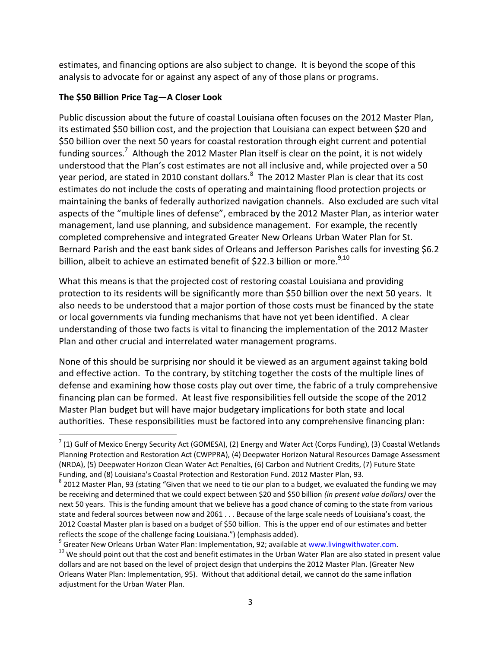estimates, and financing options are also subject to change. It is beyond the scope of this analysis to advocate for or against any aspect of any of those plans or programs.

# **The \$50 Billion Price Tag—A Closer Look**

 $\overline{\phantom{a}}$ 

Public discussion about the future of coastal Louisiana often focuses on the 2012 Master Plan, its estimated \$50 billion cost, and the projection that Louisiana can expect between \$20 and \$50 billion over the next 50 years for coastal restoration through eight current and potential funding sources.<sup>7</sup> Although the 2012 Master Plan itself is clear on the point, it is not widely understood that the Plan's cost estimates are not all inclusive and, while projected over a 50 year period, are stated in 2010 constant dollars. $^8$  The 2012 Master Plan is clear that its cost estimates do not include the costs of operating and maintaining flood protection projects or maintaining the banks of federally authorized navigation channels. Also excluded are such vital aspects of the "multiple lines of defense", embraced by the 2012 Master Plan, as interior water management, land use planning, and subsidence management. For example, the recently completed comprehensive and integrated Greater New Orleans Urban Water Plan for St. Bernard Parish and the east bank sides of Orleans and Jefferson Parishes calls for investing \$6.2 billion, albeit to achieve an estimated benefit of \$22.3 billion or more. $^{9,10}$ 

What this means is that the projected cost of restoring coastal Louisiana and providing protection to its residents will be significantly more than \$50 billion over the next 50 years. It also needs to be understood that a major portion of those costs must be financed by the state or local governments via funding mechanisms that have not yet been identified. A clear understanding of those two facts is vital to financing the implementation of the 2012 Master Plan and other crucial and interrelated water management programs.

None of this should be surprising nor should it be viewed as an argument against taking bold and effective action. To the contrary, by stitching together the costs of the multiple lines of defense and examining how those costs play out over time, the fabric of a truly comprehensive financing plan can be formed. At least five responsibilities fell outside the scope of the 2012 Master Plan budget but will have major budgetary implications for both state and local authorities. These responsibilities must be factored into any comprehensive financing plan:

 $^7$  (1) Gulf of Mexico Energy Security Act (GOMESA), (2) Energy and Water Act (Corps Funding), (3) Coastal Wetlands Planning Protection and Restoration Act (CWPPRA), (4) Deepwater Horizon Natural Resources Damage Assessment (NRDA), (5) Deepwater Horizon Clean Water Act Penalties, (6) Carbon and Nutrient Credits, (7) Future State Funding, and (8) Louisiana's Coastal Protection and Restoration Fund. 2012 Master Plan, 93.

 $^8$  2012 Master Plan, 93 (stating "Given that we need to tie our plan to a budget, we evaluated the funding we may be receiving and determined that we could expect between \$20 and \$50 billion *(in present value dollars)* over the next 50 years. This is the funding amount that we believe has a good chance of coming to the state from various state and federal sources between now and 2061 . . . Because of the large scale needs of Louisiana's coast, the 2012 Coastal Master plan is based on a budget of \$50 billion. This is the upper end of our estimates and better reflects the scope of the challenge facing Louisiana.") (emphasis added).

<sup>&</sup>lt;sup>9</sup> Greater New Orleans Urban Water Plan: Implementation, 92; available at [www.livingwithwater.com.](http://www.livingwithwater.com/)

 $10$  We should point out that the cost and benefit estimates in the Urban Water Plan are also stated in present value dollars and are not based on the level of project design that underpins the 2012 Master Plan. (Greater New Orleans Water Plan: Implementation, 95). Without that additional detail, we cannot do the same inflation adjustment for the Urban Water Plan.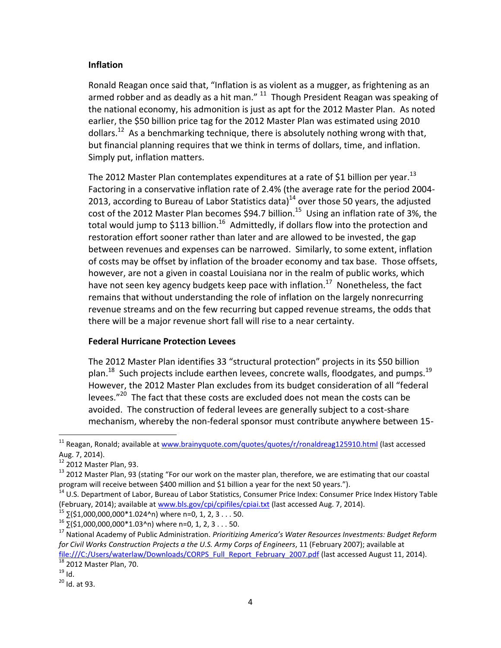#### **Inflation**

Ronald Reagan once said that, "Inflation is as violent as a mugger, as frightening as an armed robber and as deadly as a hit man."  $11$  Though President Reagan was speaking of the national economy, his admonition is just as apt for the 2012 Master Plan. As noted earlier, the \$50 billion price tag for the 2012 Master Plan was estimated using 2010 dollars.<sup>12</sup> As a benchmarking technique, there is absolutely nothing wrong with that, but financial planning requires that we think in terms of dollars, time, and inflation. Simply put, inflation matters.

The 2012 Master Plan contemplates expenditures at a rate of \$1 billion per year.<sup>13</sup> Factoring in a conservative inflation rate of 2.4% (the average rate for the period 2004- 2013, according to Bureau of Labor Statistics data)<sup>14</sup> over those 50 years, the adjusted cost of the 2012 Master Plan becomes \$94.7 billion.<sup>15</sup> Using an inflation rate of 3%, the total would jump to \$113 billion.<sup>16</sup> Admittedly, if dollars flow into the protection and restoration effort sooner rather than later and are allowed to be invested, the gap between revenues and expenses can be narrowed. Similarly, to some extent, inflation of costs may be offset by inflation of the broader economy and tax base. Those offsets, however, are not a given in coastal Louisiana nor in the realm of public works, which have not seen key agency budgets keep pace with inflation.<sup>17</sup> Nonetheless, the fact remains that without understanding the role of inflation on the largely nonrecurring revenue streams and on the few recurring but capped revenue streams, the odds that there will be a major revenue short fall will rise to a near certainty.

#### **Federal Hurricane Protection Levees**

The 2012 Master Plan identifies 33 "structural protection" projects in its \$50 billion plan.<sup>18</sup> Such projects include earthen levees, concrete walls, floodgates, and pumps.<sup>19</sup> However, the 2012 Master Plan excludes from its budget consideration of all "federal levees." $^{20}$  The fact that these costs are excluded does not mean the costs can be avoided. The construction of federal levees are generally subject to a cost-share mechanism, whereby the non-federal sponsor must contribute anywhere between 15-

 $\overline{^{18}}$  2012 Master Plan, 70.

 $\overline{\phantom{a}}$ 

<sup>&</sup>lt;sup>11</sup> Reagan, Ronald; available a[t www.brainyquote.com/quotes/quotes/r/ronaldreag125910.html](http://www.brainyquote.com/quotes/quotes/r/ronaldreag125910.html) (last accessed Aug. 7, 2014).

<sup>12</sup> 2012 Master Plan, 93.

 $13$  2012 Master Plan, 93 (stating "For our work on the master plan, therefore, we are estimating that our coastal program will receive between \$400 million and \$1 billion a year for the next 50 years.").

<sup>&</sup>lt;sup>14</sup> U.S. Department of Labor, Bureau of Labor Statistics, Consumer Price Index: Consumer Price Index History Table (February, 2014); available at [www.bls.gov/cpi/cpifiles/cpiai.txt](http://www.bls.gov/cpi/cpifiles/cpiai.txt) (last accessed Aug. 7, 2014).

 $15$   $5$ (\$1,000,000,000\*1.024^n) where n=0, 1, 2, 3 . . . 50.

 $16\overline{5}(51,000,000,000*1.03^{\circ}n)$  where n=0, 1, 2, 3 . . . 50.

<sup>17</sup> National Academy of Public Administration. *Prioritizing America's Water Resources Investments: Budget Reform for Civil Works Construction Projects a the U.S. Army Corps of Engineers*, 11 (February 2007); available at [file:///C:/Users/waterlaw/Downloads/CORPS\\_Full\\_Report\\_February\\_2007.pdf](file:///C:/Users/waterlaw/Downloads/CORPS_Full_Report_February_2007.pdf) (last accessed August 11, 2014).

 $19$  Id.

 $20$  Id. at 93.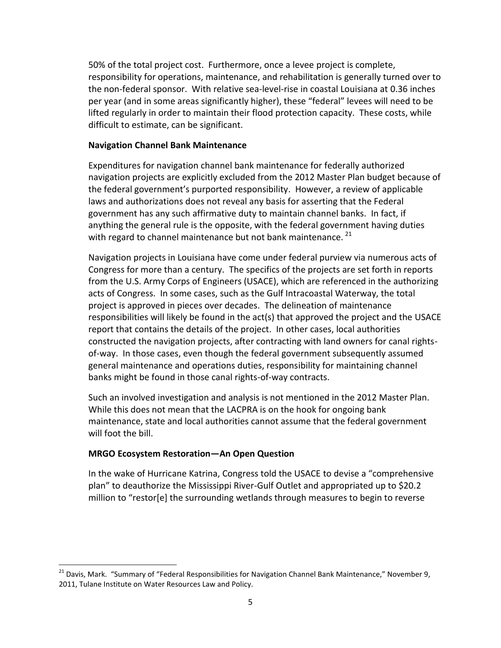50% of the total project cost. Furthermore, once a levee project is complete, responsibility for operations, maintenance, and rehabilitation is generally turned over to the non-federal sponsor. With relative sea-level-rise in coastal Louisiana at 0.36 inches per year (and in some areas significantly higher), these "federal" levees will need to be lifted regularly in order to maintain their flood protection capacity. These costs, while difficult to estimate, can be significant.

#### **Navigation Channel Bank Maintenance**

Expenditures for navigation channel bank maintenance for federally authorized navigation projects are explicitly excluded from the 2012 Master Plan budget because of the federal government's purported responsibility. However, a review of applicable laws and authorizations does not reveal any basis for asserting that the Federal government has any such affirmative duty to maintain channel banks. In fact, if anything the general rule is the opposite, with the federal government having duties with regard to channel maintenance but not bank maintenance.<sup>21</sup>

Navigation projects in Louisiana have come under federal purview via numerous acts of Congress for more than a century. The specifics of the projects are set forth in reports from the U.S. Army Corps of Engineers (USACE), which are referenced in the authorizing acts of Congress. In some cases, such as the Gulf Intracoastal Waterway, the total project is approved in pieces over decades. The delineation of maintenance responsibilities will likely be found in the act(s) that approved the project and the USACE report that contains the details of the project. In other cases, local authorities constructed the navigation projects, after contracting with land owners for canal rightsof-way. In those cases, even though the federal government subsequently assumed general maintenance and operations duties, responsibility for maintaining channel banks might be found in those canal rights-of-way contracts.

Such an involved investigation and analysis is not mentioned in the 2012 Master Plan. While this does not mean that the LACPRA is on the hook for ongoing bank maintenance, state and local authorities cannot assume that the federal government will foot the bill.

#### **MRGO Ecosystem Restoration—An Open Question**

l

In the wake of Hurricane Katrina, Congress told the USACE to devise a "comprehensive plan" to deauthorize the Mississippi River-Gulf Outlet and appropriated up to \$20.2 million to "restor[e] the surrounding wetlands through measures to begin to reverse

<sup>&</sup>lt;sup>21</sup> Davis, Mark. "Summary of "Federal Responsibilities for Navigation Channel Bank Maintenance," November 9, 2011, Tulane Institute on Water Resources Law and Policy.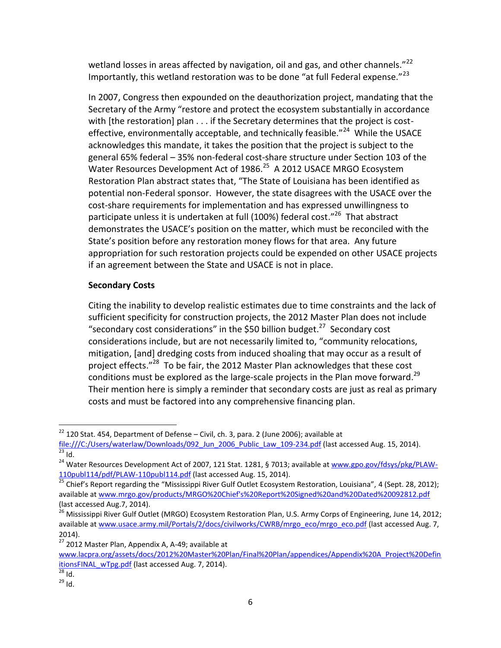wetland losses in areas affected by navigation, oil and gas, and other channels."<sup>22</sup> Importantly, this wetland restoration was to be done "at full Federal expense."<sup>23</sup>

In 2007, Congress then expounded on the deauthorization project, mandating that the Secretary of the Army "restore and protect the ecosystem substantially in accordance with [the restoration] plan . . . if the Secretary determines that the project is costeffective, environmentally acceptable, and technically feasible."<sup>24</sup> While the USACE acknowledges this mandate, it takes the position that the project is subject to the general 65% federal – 35% non-federal cost-share structure under Section 103 of the Water Resources Development Act of 1986.<sup>25</sup> A 2012 USACE MRGO Ecosystem Restoration Plan abstract states that, "The State of Louisiana has been identified as potential non-Federal sponsor. However, the state disagrees with the USACE over the cost-share requirements for implementation and has expressed unwillingness to participate unless it is undertaken at full (100%) federal cost."<sup>26</sup> That abstract demonstrates the USACE's position on the matter, which must be reconciled with the State's position before any restoration money flows for that area. Any future appropriation for such restoration projects could be expended on other USACE projects if an agreement between the State and USACE is not in place.

# **Secondary Costs**

Citing the inability to develop realistic estimates due to time constraints and the lack of sufficient specificity for construction projects, the 2012 Master Plan does not include "secondary cost considerations" in the \$50 billion budget.<sup>27</sup> Secondary cost considerations include, but are not necessarily limited to, "community relocations, mitigation, [and] dredging costs from induced shoaling that may occur as a result of project effects."<sup>28</sup> To be fair, the 2012 Master Plan acknowledges that these cost conditions must be explored as the large-scale projects in the Plan move forward.<sup>29</sup> Their mention here is simply a reminder that secondary costs are just as real as primary costs and must be factored into any comprehensive financing plan.

l

 $22$  120 Stat. 454, Department of Defense – Civil, ch. 3, para. 2 (June 2006); available at

[file:///C:/Users/waterlaw/Downloads/092\\_Jun\\_2006\\_Public\\_Law\\_109-234.pdf](file:///C:/Users/waterlaw/Downloads/092_Jun_2006_Public_Law_109-234.pdf) (last accessed Aug. 15, 2014).  $\overline{^{23}}$  Id.

<sup>&</sup>lt;sup>24</sup> Water Resources Development Act of 2007, 121 Stat. 1281, § 7013; available at [www.gpo.gov/fdsys/pkg/PLAW-](http://www.gpo.gov/fdsys/pkg/PLAW-110publ114/pdf/PLAW-110publ114.pdf)[110publ114/pdf/PLAW-110publ114.pdf](http://www.gpo.gov/fdsys/pkg/PLAW-110publ114/pdf/PLAW-110publ114.pdf) (last accessed Aug. 15, 2014).

 $25$  Chief's Report regarding the "Mississippi River Gulf Outlet Ecosystem Restoration, Louisiana", 4 (Sept. 28, 2012); available a[t www.mrgo.gov/products/MRGO%20Chief's%20Report%20Signed%20and%20Dated%20092812.pdf](http://www.mrgo.gov/products/MRGO%20Chief) (last accessed Aug.7, 2014).

<sup>&</sup>lt;sup>26</sup> Mississippi River Gulf Outlet (MRGO) Ecosystem Restoration Plan, U.S. Army Corps of Engineering, June 14, 2012; available a[t www.usace.army.mil/Portals/2/docs/civilworks/CWRB/mrgo\\_eco/mrgo\\_eco.pdf](http://www.usace.army.mil/Portals/2/docs/civilworks/CWRB/mrgo_eco/mrgo_eco.pdf) (last accessed Aug. 7, 2014).

<sup>&</sup>lt;sup>27</sup> 2012 Master Plan, Appendix A, A-49; available at

[www.lacpra.org/assets/docs/2012%20Master%20Plan/Final%20Plan/appendices/Appendix%20A\\_Project%20Defin](http://www.lacpra.org/assets/docs/2012%20Master%20Plan/Final%20Plan/appendices/Appendix%20A_Project%20DefinitionsFINAL_wTpg.pdf) [itionsFINAL\\_wTpg.pdf](http://www.lacpra.org/assets/docs/2012%20Master%20Plan/Final%20Plan/appendices/Appendix%20A_Project%20DefinitionsFINAL_wTpg.pdf) (last accessed Aug. 7, 2014).

 $\overline{^{28}$  Id.

<sup>29</sup> Id.